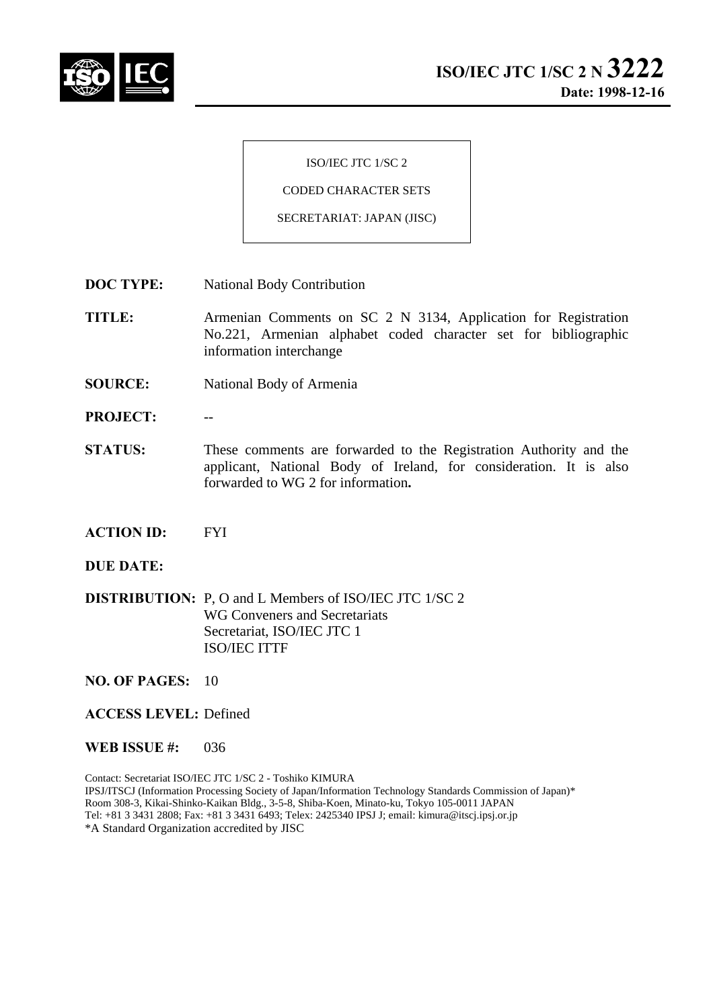

ISO/IEC JTC 1/SC 2

CODED CHARACTER SETS

SECRETARIAT: JAPAN (JISC)

- **DOC TYPE:** National Body Contribution
- **TITLE:** Armenian Comments on SC 2 N 3134, Application for Registration No.221, Armenian alphabet coded character set for bibliographic information interchange
- **SOURCE:** National Body of Armenia
- PROJECT:
- **STATUS:** These comments are forwarded to the Registration Authority and the applicant, National Body of Ireland, for consideration. It is also forwarded to WG 2 for information**.**
- **ACTION ID:** FYI
- **DUE DATE:**
- **DISTRIBUTION:** P, O and L Members of ISO/IEC JTC 1/SC 2 WG Conveners and Secretariats Secretariat, ISO/IEC JTC 1 ISO/IEC ITTF
- **NO. OF PAGES:** 10
- **ACCESS LEVEL:** Defined
- **WEB ISSUE #:** 036

Contact: Secretariat ISO/IEC JTC 1/SC 2 - Toshiko KIMURA IPSJ/ITSCJ (Information Processing Society of Japan/Information Technology Standards Commission of Japan)\* Room 308-3, Kikai-Shinko-Kaikan Bldg., 3-5-8, Shiba-Koen, Minato-ku, Tokyo 105-0011 JAPAN Tel: +81 3 3431 2808; Fax: +81 3 3431 6493; Telex: 2425340 IPSJ J; email: kimura@itscj.ipsj.or.jp \*A Standard Organization accredited by JISC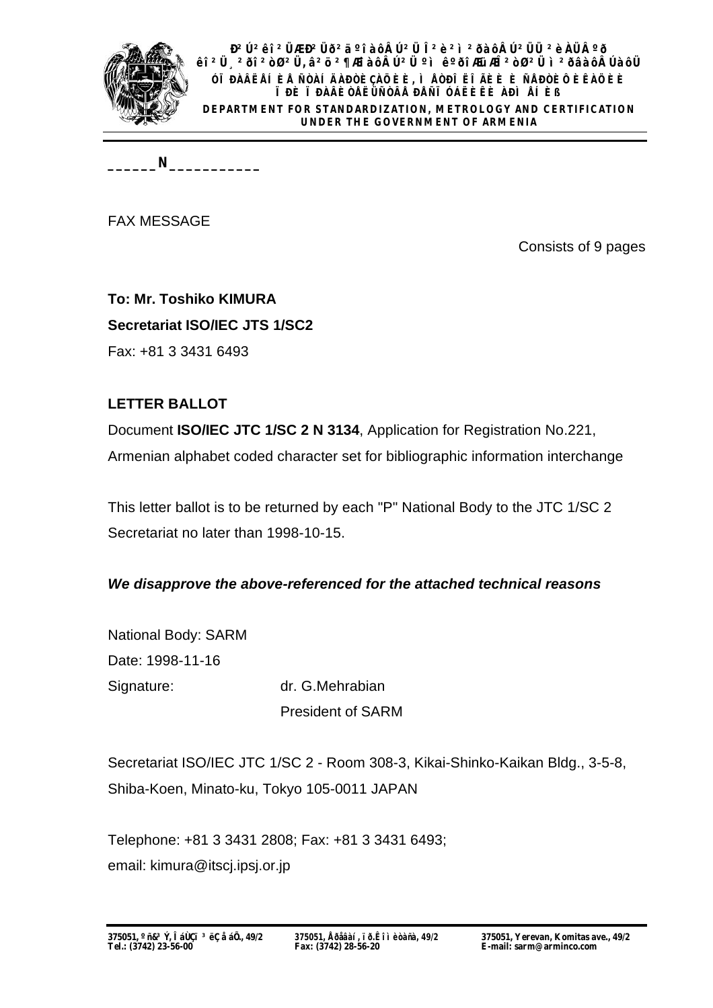

**B**<sup>2</sup>򻐔 <sup>2</sup>ÜÆ Ð<sup>2</sup>Üð<sup>2</sup>äºî àôÂÚ<sup>2</sup>Ü Î <sup>2</sup>è<sup>2</sup>ì ¤ðàôÂÚ <sup>2</sup>ÜÜ ªèÀܺð **êî²Ü¸²ðî²òزÜ, â²ö²¶ÆîàôÂÚ²Ü ºì êºðîÆüÆÎ²òØ²Ü ì²ðâàôÂÚàôÜ ÓÏÐÀÂËÅÍÈÅ ÑÒÀÍÄÀÐÒÈÇÀÖÈÈ, ÌÅÒÐÎËÎÃÈÈ È ÑÅÐÒÈÔÈÊÀÖÈÈ ÏÐÈ ÏÐÀÂÈÒÅËÜÑÒÂÅ ÐÅÑÏÓÁËÈÊÈ ÀÐÌÅÍÈß DEPARTMENT FOR STANDARDIZATION, METROLOGY AND CERTIFICATION UNDER THE GOVERNMENT OF ARMENIA**

**\_\_\_\_\_\_N\_\_\_\_\_\_\_\_\_\_\_**

FAX MESSAGE

Consists of 9 pages

**To: Mr. Toshiko KIMURA Secretariat ISO/IEC JTS 1/SC2** Fax: +81 3 3431 6493

#### **LETTER BALLOT**

Document **ISO/IEC JTC 1/SC 2 N 3134**, Application for Registration No.221, Armenian alphabet coded character set for bibliographic information interchange

This letter ballot is to be returned by each "P" National Body to the JTC 1/SC 2 Secretariat no later than 1998-10-15.

#### *We disapprove the above-referenced for the attached technical reasons*

National Body: SARM Date: 1998-11-16 Signature: dr. G.Mehrabian President of SARM

Secretariat ISO/IEC JTC 1/SC 2 - Room 308-3, Kikai-Shinko-Kaikan Bldg., 3-5-8, Shiba-Koen, Minato-ku, Tokyo 105-0011 JAPAN

Telephone: +81 3 3431 2808; Fax: +81 3 3431 6493; email: kimura@itscj.ipsj.or.jp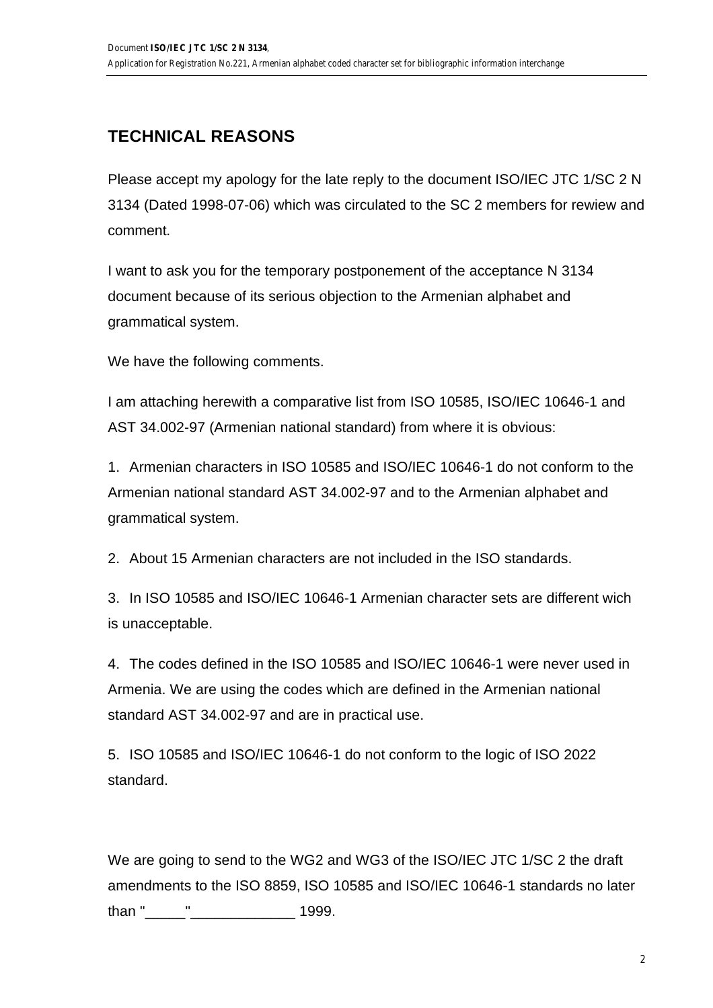# **TECHNICAL REASONS**

Please accept my apology for the late reply to the document ISO/IEC JTC 1/SC 2 N 3134 (Dated 1998-07-06) which was circulated to the SC 2 members for rewiew and comment.

I want to ask you for the temporary postponement of the acceptance N 3134 document because of its serious objection to the Armenian alphabet and grammatical system.

We have the following comments.

I am attaching herewith a comparative list from ISO 10585, ISO/IEC 10646-1 and AST 34.002-97 (Armenian national standard) from where it is obvious:

1. Armenian characters in ISO 10585 and ISO/IEC 10646-1 do not conform to the Armenian national standard AST 34.002-97 and to the Armenian alphabet and grammatical system.

2. About 15 Armenian characters are not included in the ISO standards.

3. In ISO 10585 and ISO/IEC 10646-1 Armenian character sets are different wich is unacceptable.

4. The codes defined in the ISO 10585 and ISO/IEC 10646-1 were never used in Armenia. We are using the codes which are defined in the Armenian national standard AST 34.002-97 and are in practical use.

5. ISO 10585 and ISO/IEC 10646-1 do not conform to the logic of ISO 2022 standard.

We are going to send to the WG2 and WG3 of the ISO/IEC JTC 1/SC 2 the draft amendments to the ISO 8859, ISO 10585 and ISO/IEC 10646-1 standards no later than "\_\_\_\_\_"\_\_\_\_\_\_\_\_\_\_\_\_\_ 1999.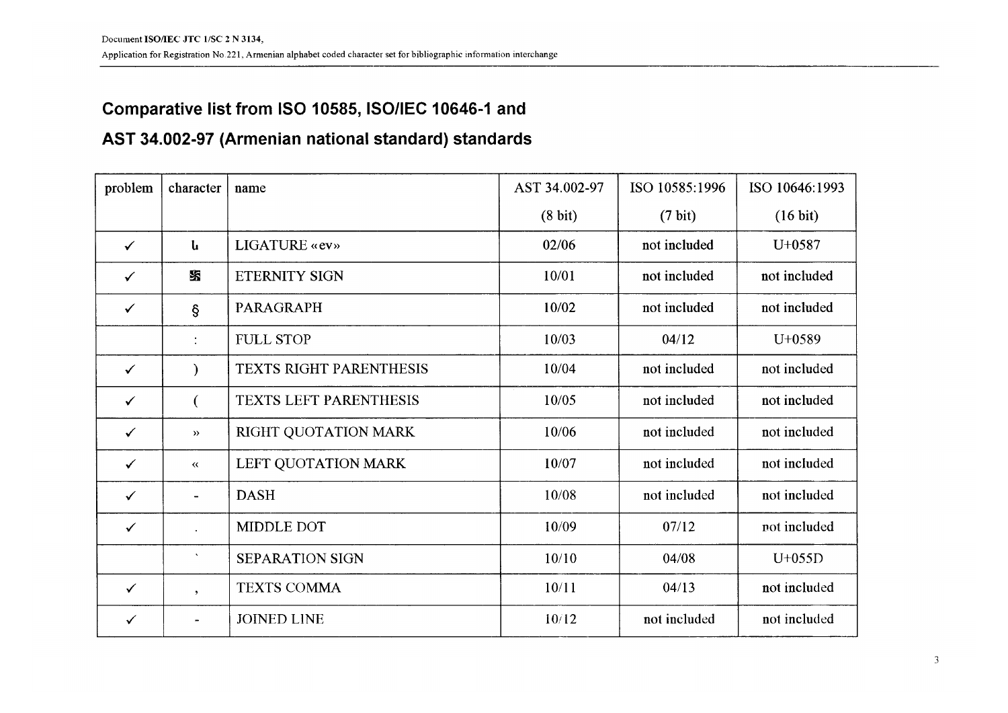### Comparative list from ISO 10585, ISO/IEC 10646-1 and

# AST 34.002-97 (Armenian national standard) standards

| problem      | character                     | name                          | AST 34.002-97     | ISO 10585:1996    | ISO 10646:1993     |
|--------------|-------------------------------|-------------------------------|-------------------|-------------------|--------------------|
|              |                               |                               | $(8 \text{ bit})$ | $(7 \text{ bit})$ | $(16 \text{ bit})$ |
| $\checkmark$ | և                             | LIGATURE «ev»                 | 02/06             | not included      | $U+0587$           |
| $\checkmark$ | SS.                           | <b>ETERNITY SIGN</b>          | 10/01             | not included      | not included       |
| $\checkmark$ | ş                             | <b>PARAGRAPH</b>              | 10/02             | not included      | not included       |
|              | $\ddot{\cdot}$                | <b>FULL STOP</b>              | 10/03             | 04/12             | U+0589             |
| $\checkmark$ | €                             | TEXTS RIGHT PARENTHESIS       | 10/04             | not included      | not included       |
| $\checkmark$ | €                             | <b>TEXTS LEFT PARENTHESIS</b> | 10/05             | not included      | not included       |
| $\checkmark$ | $\rightarrow$                 | RIGHT QUOTATION MARK          | 10/06             | not included      | not included       |
| $\checkmark$ | $\pmb{\langle} \pmb{\langle}$ | LEFT QUOTATION MARK           | 10/07             | not included      | not included       |
| $\checkmark$ |                               | <b>DASH</b>                   | 10/08             | not included      | not included       |
| $\checkmark$ |                               | MIDDLE DOT                    | 10/09             | 07/12             | not included       |
|              | $\mathbf{v}$                  | <b>SEPARATION SIGN</b>        | 10/10             | 04/08             | $U+055D$           |
| $\checkmark$ | $\cdot$                       | <b>TEXTS COMMA</b>            | 10/11             | 04/13             | not included       |
| $\checkmark$ |                               | <b>JOINED LINE</b>            | 10/12             | not included      | not included       |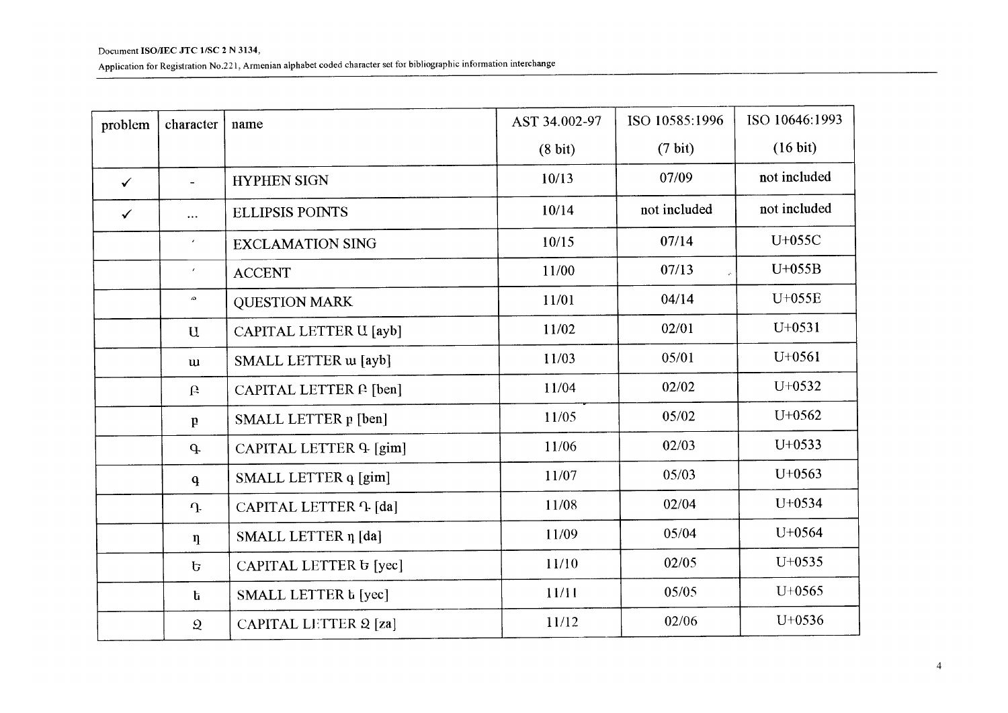Application for Registration No.221, Armenian alphabet coded character set for bibliographic information interchange

| problem      | character           | name                                | AST 34.002-97     | ISO 10585:1996    | ISO 10646:1993 |
|--------------|---------------------|-------------------------------------|-------------------|-------------------|----------------|
|              |                     |                                     | $(8 \text{ bit})$ | $(7 \text{ bit})$ | (16 bit)       |
| $\checkmark$ | $\blacksquare$      | <b>HYPHEN SIGN</b>                  | 10/13             | 07/09             | not included   |
| $\checkmark$ | $\cdots$            | <b>ELLIPSIS POINTS</b>              | 10/14             | not included      | not included   |
|              | $\bar{r}$           | <b>EXCLAMATION SING</b>             | 10/15             | 07/14             | U+055C         |
|              | $\epsilon$          | <b>ACCENT</b>                       | 11/00             | 07/13             | $U+055B$       |
|              | $\pmb{\mathcal{L}}$ | <b>QUESTION MARK</b>                | 11/01             | 04/14             | U+055E         |
|              | $\mathbf{u}$        | CAPITAL LETTER U [ayb]              | 11/02             | 02/01             | $U+0531$       |
|              | <b>u</b>            | SMALL LETTER w [ayb]                | 11/03             | 05/01             | $U+0561$       |
|              | $\mathbf{r}$        | CAPITAL LETTER P [ben]              | 11/04             | 02/02             | $U+0532$       |
|              | $\mathbf{p}$        | SMALL LETTER p [ben]                | 11/05             | 05/02             | $U+0562$       |
|              | $\mathbf{q}$        | CAPITAL LETTER 9 [gim]              | 11/06             | 02/03             | $U+0533$       |
|              | $\mathbf{q}$        | SMALL LETTER q [gim]                | 11/07             | 05/03             | $U+0563$       |
|              | $\mathbf{r}$        | CAPITAL LETTER <i><b>1</b></i> [da] | 11/08             | 02/04             | $U+0534$       |
|              | $\eta$              | SMALL LETTER n [da]                 | 11/09             | 05/04             | $U+0564$       |
|              | $\mathbf{p}$        | CAPITAL LETTER & [yec]              | 11/10             | 02/05             | $U+0535$       |
|              | $\mathbf{h}$        | SMALL LETTER t [yec]                | 11/11             | 05/05             | $U+0565$       |
|              | $\mathfrak Q$       | <b>CAPITAL LETTER 2 [za]</b>        | 11/12             | 02/06             | $U+0536$       |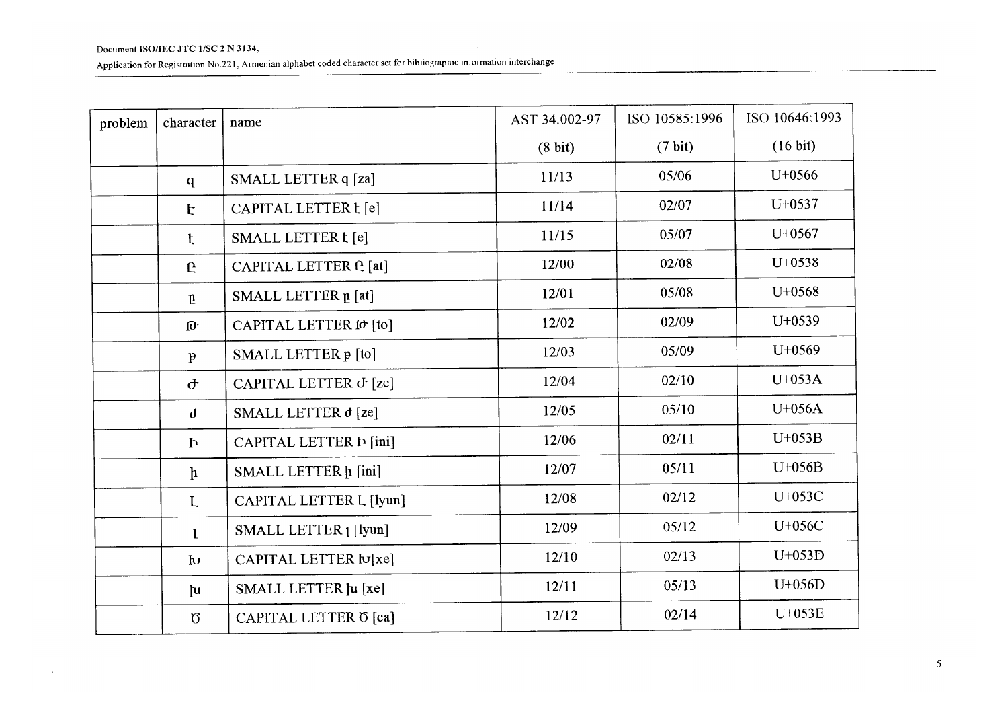$\sim 10^{-5}$ 

| problem | character    | name                          | AST 34.002-97 | ISO 10585:1996    | ISO 10646:1993     |
|---------|--------------|-------------------------------|---------------|-------------------|--------------------|
|         |              |                               | (8 bit)       | $(7 \text{ bit})$ | $(16 \text{ bit})$ |
|         | q            | SMALL LETTER q [za]           | 11/13         | 05/06             | $U+0566$           |
|         | E            | CAPITAL LETTER t [e]          | 11/14         | 02/07             | $U+0537$           |
|         | $\mathbf t$  | SMALL LETTER t [e]            | 11/15         | 05/07             | $U+0567$           |
|         | $\mathbf{C}$ | CAPITAL LETTER <b>C</b> [at]  | 12/00         | 02/08             | $U+0538$           |
|         | $\mathbf{n}$ | SMALL LETTER p [at]           | 12/01         | 05/08             | $U+0568$           |
|         | $\mathbf{p}$ | CAPITAL LETTER @ [to]         | 12/02         | 02/09             | $U+0539$           |
|         | $\mathbf{p}$ | SMALL LETTER p [to]           | 12/03         | 05/09             | $U+0569$           |
|         | $\sigma$     | CAPITAL LETTER $\sigma$ [ze]  | 12/04         | 02/10             | U+053A             |
|         | $\mathbf{d}$ | SMALL LETTER d [ze]           | 12/05         | 05/10             | $U+056A$           |
|         | $\mathbf{h}$ | CAPITAL LETTER <b>h</b> [ini] | 12/06         | 02/11             | $U+053B$           |
|         | $\mathbf{h}$ | SMALL LETTER h [ini]          | 12/07         | 05/11             | U+056B             |
|         | L            | CAPITAL LETTER L [lyun]       | 12/08         | 02/12             | U+053C             |
|         | $\mathbf{1}$ | SMALL LETTER [ [lyun]         | 12/09         | 05/12             | U+056C             |
|         | $\mathbf{b}$ | CAPITAL LETTER Iu[xe]         | 12/10         | 02/13             | $U+053D$           |
|         | $\mathbf{u}$ | SMALL LETTER Ju [xe]          | 12/11         | 05/13             | $U+056D$           |
|         | $\sigma$     | CAPITAL LETTER O [ca]         | 12/12         | 02/14             | $U+053E$           |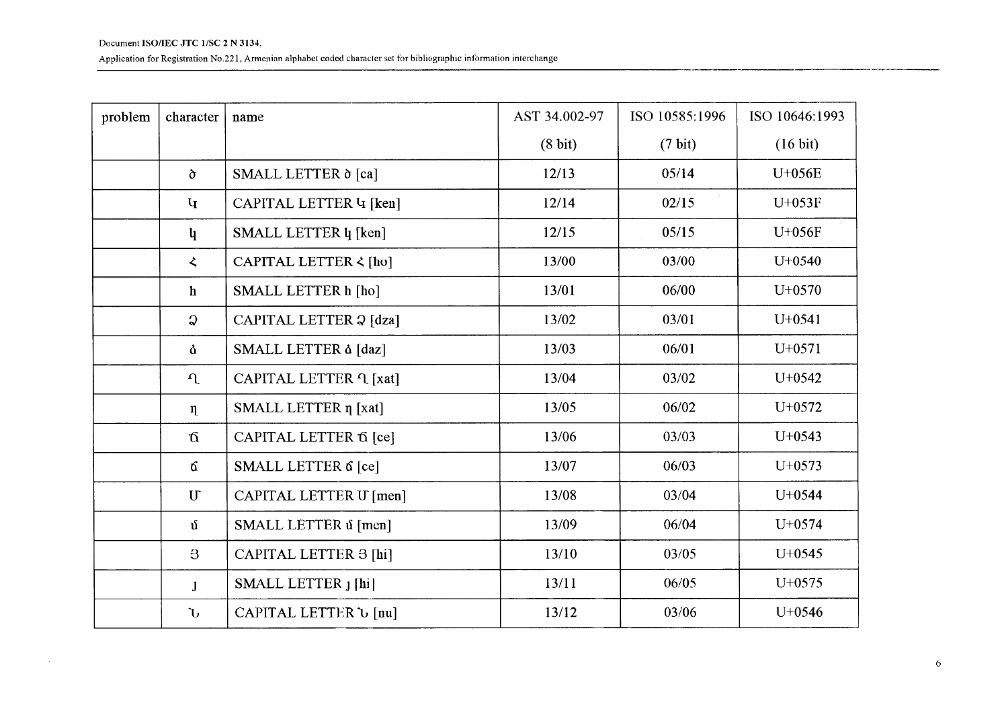Application for Registration No.221, Armenian alphabet coded character set for bibliographic information interchange

| problem | character                 | name                          | AST 34.002-97     | ISO 10585:1996    | ISO 10646:1993     |
|---------|---------------------------|-------------------------------|-------------------|-------------------|--------------------|
|         |                           |                               | $(8 \text{ bit})$ | $(7 \text{ bit})$ | $(16 \text{ bit})$ |
|         | $\sigma$                  | SMALL LETTER δ [ca]           | 12/13             | 05/14             | U+056E             |
|         | $\mathbf{q}$              | CAPITAL LETTER 4 [ken]        | 12/14             | 02/15             | $U+053F$           |
|         | $\mathbf{u}$              | SMALL LETTER $\psi$ [ken]     | 12/15             | 05/15             | $U+056F$           |
|         | $\zeta$                   | CAPITAL LETTER < [ho]         | 13/00             | 03/00             | $U+0540$           |
|         | $\mathbf{h}$              | SMALL LETTER h [ho]           | 13/01             | 06/00             | $U+0570$           |
|         | $\Omega$                  | CAPITAL LETTER 2 [dza]        | 13/02             | 03/01             | $U+0541$           |
|         | å                         | SMALL LETTER à [daz]          | 13/03             | 06/01             | $U+0571$           |
|         | $\Omega$                  | CAPITAL LETTER <i>L</i> [xat] | 13/04             | 03/02             | $U+0542$           |
|         | $\eta$                    | SMALL LETTER η [xat]          | 13/05             | 06/02             | U+0572             |
|         | $\mathbf{\Omega}$         | CAPITAL LETTER 6 [ce]         | 13/06             | 03/03             | $U+0543$           |
|         | 6                         | SMALL LETTER 6 [ce]           | 13/07             | 06/03             | $U+0573$           |
|         | $\ensuremath{\mathrm{U}}$ | CAPITAL LETTER U [men]        | 13/08             | 03/04             | $U+0544$           |
|         | $\mathbf{u}$              | SMALL LETTER ú [men]          | 13/09             | 06/04             | $U+0574$           |
|         | $\mathbf{B}$              | CAPITAL LETTER 3 [hi]         | 13/10             | 03/05             | $U+0545$           |
|         | $\mathbf{J}$              | SMALL LETTER J [hi]           | 13/11             | 06/05             | $U+0575$           |
|         | $\mathbf{U}$              | CAPITAL LETTER U [nu]         | 13/12             | 03/06             | $U+0546$           |

.<br>Dan bertama di kacamatan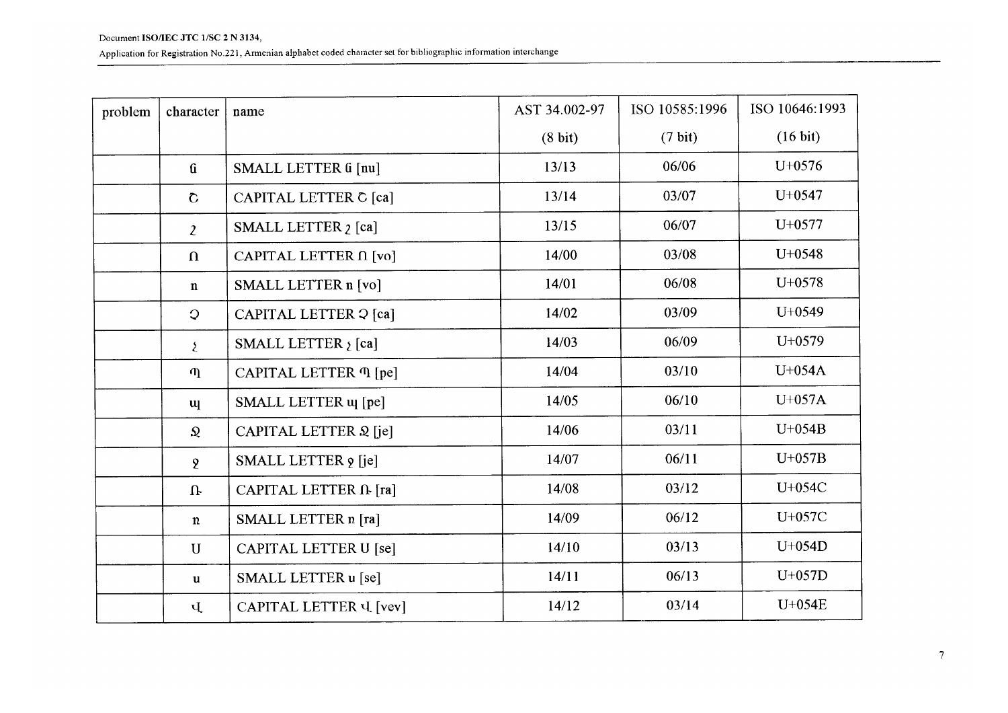| problem | character         | name                             | AST 34.002-97     | ISO 10585:1996    | ISO 10646:1993 |
|---------|-------------------|----------------------------------|-------------------|-------------------|----------------|
|         |                   |                                  | $(8 \text{ bit})$ | $(7 \text{ bit})$ | (16 bit)       |
|         | $\mathbf{G}$      | SMALL LETTER G [nu]              | 13/13             | 06/06             | $U+0576$       |
|         | $\mathbf C$       | CAPITAL LETTER C [ca]            | 13/14             | 03/07             | $U+0547$       |
|         | $\mathbf{2}$      | SMALL LETTER 2 [ca]              | 13/15             | 06/07             | $U+0577$       |
|         | $\Omega$          | CAPITAL LETTER $\Omega$ [vo]     | 14/00             | 03/08             | $U+0548$       |
|         | $\mathbf n$       | SMALL LETTER n [vo]              | 14/01             | 06/08             | $U+0578$       |
|         | $\mathcal{Q}$     | CAPITAL LETTER 2 [ca]            | 14/02             | 03/09             | $U+0549$       |
|         | $\mathbf{\Sigma}$ | SMALL LETTER $\mathfrak{z}$ [ca] | 14/03             | 06/09             | $U+0579$       |
|         | $\eta$            | CAPITAL LETTER <i>II</i> [pe]    | 14/04             | 03/10             | $U+054A$       |
|         | $\mathbf{u}$      | SMALL LETTER u [pe]              | 14/05             | 06/10             | $U+057A$       |
|         | $\Omega$          | CAPITAL LETTER 2 [je]            | 14/06             | 03/11             | $U+054B$       |
|         | $\mathbf{Q}$      | SMALL LETTER 9 [je]              | 14/07             | 06/11             | $U+057B$       |
|         | $\mathbf{u}$      | CAPITAL LETTER IL [ra]           | 14/08             | 03/12             | U+054C         |
|         | $\mathbf n$       | SMALL LETTER n [ra]              | 14/09             | 06/12             | U+057C         |
|         | $\mathbf{U}$      | CAPITAL LETTER U [se]            | 14/10             | 03/13             | $U+054D$       |
|         | $\mathbf u$       | SMALL LETTER u [se]              | 14/11             | 06/13             | $U+057D$       |
|         | Ų                 | CAPITAL LETTER U [vev]           | 14/12             | 03/14             | U+054E         |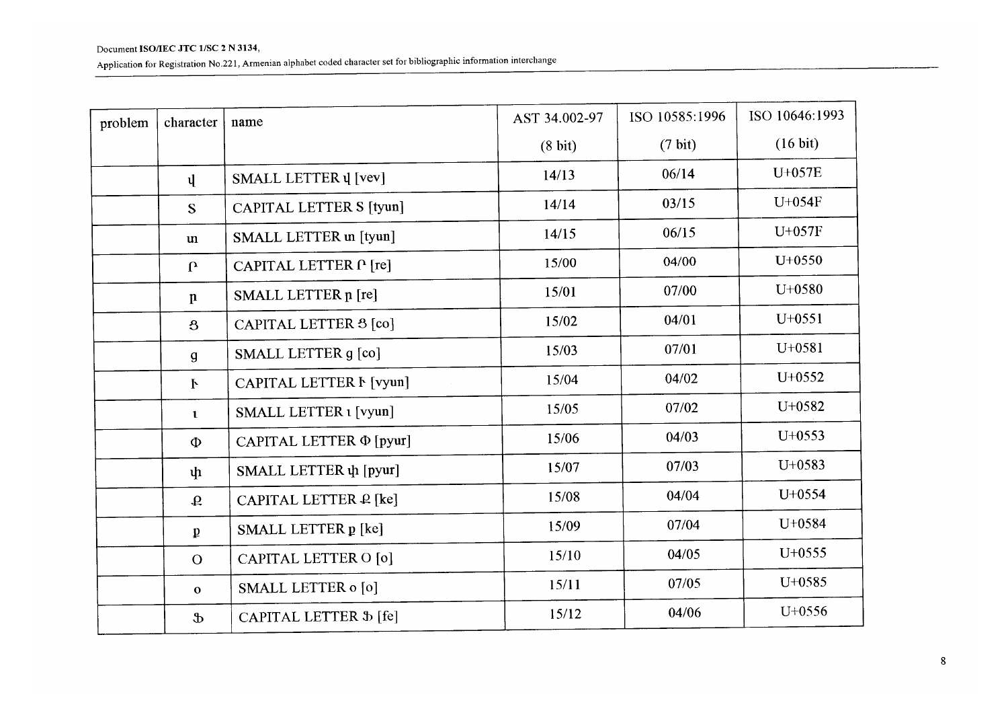| problem | character       | name                       | AST 34.002-97     | ISO 10585:1996    | ISO 10646:1993     |
|---------|-----------------|----------------------------|-------------------|-------------------|--------------------|
|         |                 |                            | $(8 \text{ bit})$ | $(7 \text{ bit})$ | $(16 \text{ bit})$ |
|         | $\mathbf{u}$    | SMALL LETTER $\psi$ [vev]  | 14/13             | 06/14             | U+057E             |
|         | S               | CAPITAL LETTER S [tyun]    | 14/14             | 03/15             | U+054F             |
|         | $\mathbf{u}$    | SMALL LETTER un [tyun]     | 14/15             | 06/15             | U+057F             |
|         | $\mathbf{r}$    | CAPITAL LETTER P [re]      | 15/00             | 04/00             | $U+0550$           |
|         | $\mathbf n$     | SMALL LETTER p [re]        | 15/01             | 07/00             | U+0580             |
|         | $\mathbf{8}$    | CAPITAL LETTER 3 [co]      | 15/02             | 04/01             | $U+0551$           |
|         | $\mathbf{g}$    | SMALL LETTER g [co]        | 15/03             | 07/01             | $U+0581$           |
|         | $\mathbf{F}$    | CAPITAL LETTER F [vyun]    | 15/04             | 04/02             | $U+0552$           |
|         | $\mathbf{1}$    | SMALL LETTER 1 [vyun]      | 15/05             | 07/02             | $U+0582$           |
|         | $\Phi$          | CAPITAL LETTER Φ [pyur]    | 15/06             | 04/03             | $U+0553$           |
|         | $\mathbf{\psi}$ | SMALL LETTER $\psi$ [pyur] | 15/07             | 07/03             | $U+0583$           |
|         | $\mathbf{Q}$    | CAPITAL LETTER P [ke]      | 15/08             | 04/04             | U+0554             |
|         | $\mathbf{p}$    | SMALL LETTER p [ke]        | 15/09             | 07/04             | U+0584             |
|         | $\overline{O}$  | CAPITAL LETTER O [0]       | 15/10             | 04/05             | $U+0555$           |
|         | $\mathbf{o}$    | SMALL LETTER o [o]         | 15/11             | 07/05             | $U+0585$           |
|         | $\mathbf{r}$    | CAPITAL LETTER \$ [fe]     | 15/12             | 04/06             | $U+0556$           |